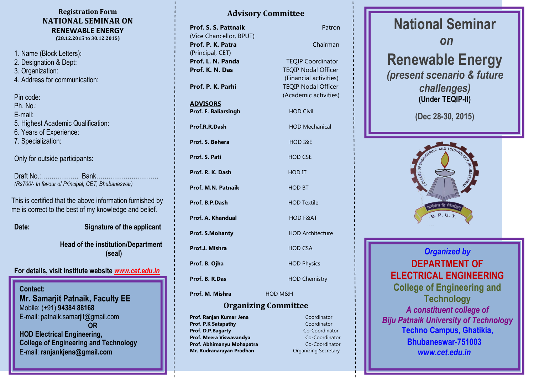#### **Registration Form NATIONAL SEMINAR ON RENEWABLE ENERGY (28.12.2015 to 30.12.2015)**

1. Name (Block Letters): 2. Designation & Dept: 3. Organization: 4. Address for communication:

Pin code: Ph. No.: E-mail: 5. Highest Academic Qualification: 6. Years of Experience: 7. Specialization:

Only for outside participants:

Draft No.:……………… Bank………………………… *(Rs700/- In favour of Principal, CET, Bhubaneswar)*

This is certified that the above information furnished by me is correct to the best of my knowledge and belief.

**Date: Signature of the applicant**

**Head of the institution/Department (seal)**

**For details, visit institute website** *[www.cet.edu.in](http://www.cet.edu.in/)*

**Contact: Mr. Samarjit Patnaik, Faculty EE** Mobile: (+91) **94384 88168** E-mail: patnaik.samarjit@gmail.com **OR HOD Electrical Engineering, College of Engineering and Technology** E-mail: **ranjankjena@gmail.com**

## **Advisory Committee**

| Prof. S. S. Pattnaik    | Patron                     |
|-------------------------|----------------------------|
| (Vice Chancellor, BPUT) |                            |
| Prof. P. K. Patra       | Chairman                   |
| (Principal, CET)        |                            |
| Prof. L. N. Panda       | <b>TEQIP Coordinator</b>   |
| Prof. K. N. Das         | <b>TEQIP Nodal Officer</b> |
|                         | (Financial activities)     |
| Prof. P. K. Parhi       | <b>TEQIP Nodal Officer</b> |
|                         | (Academic activities)      |
| <b>ADVISORS</b>         |                            |
| Prof. F. Baliarsingh    | <b>HOD Civil</b>           |
| Prof.R.R.Dash           | <b>HOD Mechanical</b>      |
| Prof. S. Behera         | HOD I&E                    |
| Prof. S. Pati           | <b>HOD CSE</b>             |
| Prof. R. K. Dash        | <b>HOD IT</b>              |
| Prof. M.N. Patnaik      | <b>HOD BT</b>              |
| Prof. B.P.Dash          | <b>HOD Textile</b>         |
| Prof. A. Khandual       | <b>HOD F&amp;AT</b>        |
| <b>Prof. S.Mohanty</b>  | <b>HOD Architecture</b>    |
| Prof.J. Mishra          | <b>HOD CSA</b>             |
| Prof. B. Ojha           | <b>HOD Physics</b>         |
| Prof. B. R.Das          | <b>HOD Chemistry</b>       |
| Prof. M. Mishra         | HOD M&H                    |

#### **Organizing Committee**

**Prof. Ranjan Kumar Jena Coordinator Prof. P.K Satapathy Coordinator Prof. D.P.Bagarty** Co-Coordinator **Prof. Meera Viswavandya Co-Coordinator Prof. Abhimanyu Mohapatra Co-Coordinator Mr. Rudranarayan Pradhan Mr. Rudranarayan Pradhan** 

# **National Seminar** *on* **Renewable Energy**  *(present scenario & future challenges)*  **(Under TEQIP-II)**

**(Dec 28-30, 2015)**



*Organized by* **DEPARTMENT OF ELECTRICAL ENGINEERING College of Engineering and Technology** *A constituent college of Biju Patnaik University of Technology* **Techno Campus, Ghatikia, Bhubaneswar-751003** *[www.cet.edu.in](http://www.cet.edu.in/)*